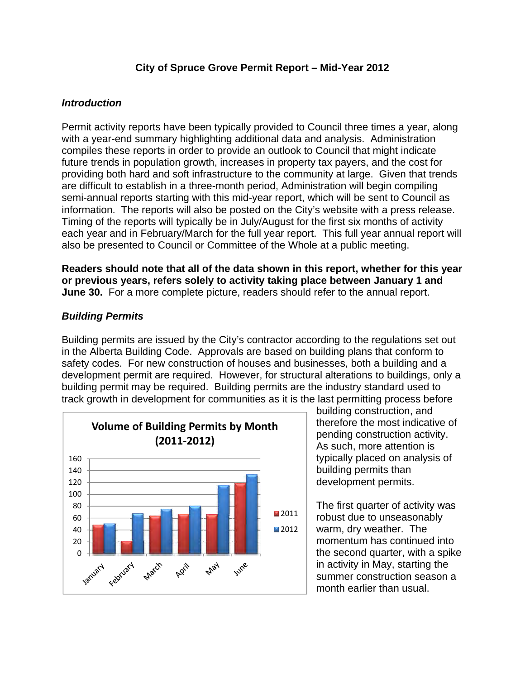#### **City of Spruce Grove Permit Report – Mid-Year 2012**

#### *Introduction*

Permit activity reports have been typically provided to Council three times a year, along with a year-end summary highlighting additional data and analysis. Administration compiles these reports in order to provide an outlook to Council that might indicate future trends in population growth, increases in property tax payers, and the cost for providing both hard and soft infrastructure to the community at large. Given that trends are difficult to establish in a three-month period, Administration will begin compiling semi-annual reports starting with this mid-year report, which will be sent to Council as information. The reports will also be posted on the City's website with a press release. Timing of the reports will typically be in July/August for the first six months of activity each year and in February/March for the full year report. This full year annual report will also be presented to Council or Committee of the Whole at a public meeting.

**Readers should note that all of the data shown in this report, whether for this year or previous years, refers solely to activity taking place between January 1 and June 30.** For a more complete picture, readers should refer to the annual report.

## *Building Permits*

Building permits are issued by the City's contractor according to the regulations set out in the Alberta Building Code. Approvals are based on building plans that conform to safety codes. For new construction of houses and businesses, both a building and a development permit are required. However, for structural alterations to buildings, only a building permit may be required. Building permits are the industry standard used to track growth in development for communities as it is the last permitting process before



building construction, and therefore the most indicative of pending construction activity. As such, more attention is typically placed on analysis of building permits than development permits.

The first quarter of activity was robust due to unseasonably warm, dry weather. The momentum has continued into the second quarter, with a spike in activity in May, starting the summer construction season a month earlier than usual.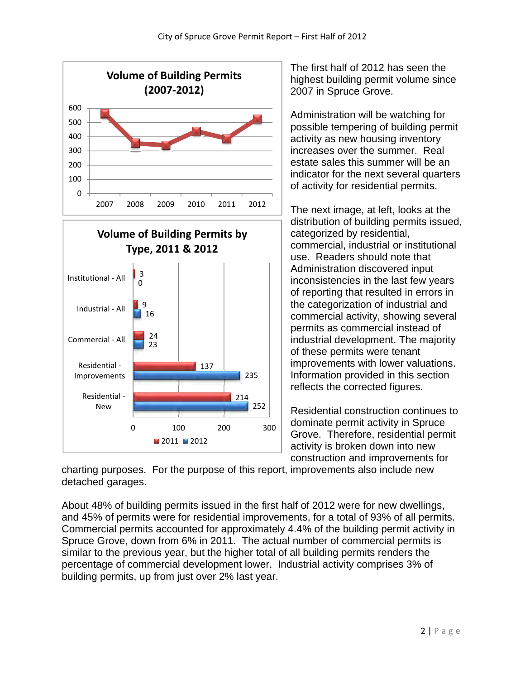

The first half of 2012 has seen the highest building permit volume since 2007 in Spruce Grove.

Administration will be watching for possible tempering of building permit activity as new housing inventory increases over the summer. Real estate sales this summer will be an indicator for the next several quarters of activity for residential permits.

The next image, at left, looks at the distribution of building permits issued, categorized by residential, commercial, industrial or institutional use. Readers should note that Administration discovered input inconsistencies in the last few years of reporting that resulted in errors in the categorization of industrial and commercial activity, showing several permits as commercial instead of industrial development. The majority of these permits were tenant improvements with lower valuations. Information provided in this section reflects the corrected figures.

Residential construction continues to dominate permit activity in Spruce Grove. Therefore, residential permit activity is broken down into new construction and improvements for

charting purposes. For the purpose of this report, improvements also include new detached garages.

About 48% of building permits issued in the first half of 2012 were for new dwellings, and 45% of permits were for residential improvements, for a total of 93% of all permits. Commercial permits accounted for approximately 4.4% of the building permit activity in Spruce Grove, down from 6% in 2011. The actual number of commercial permits is similar to the previous year, but the higher total of all building permits renders the percentage of commercial development lower. Industrial activity comprises 3% of building permits, up from just over 2% last year.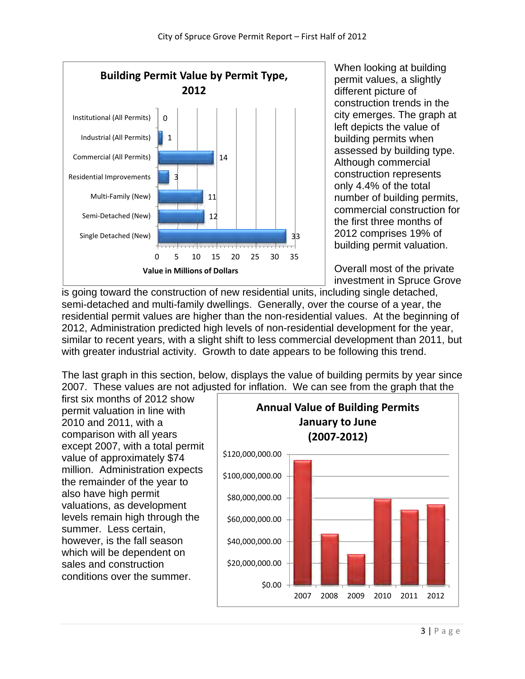

When looking at building permit values, a slightly different picture of construction trends in the city emerges. The graph at left depicts the value of building permits when assessed by building type. Although commercial construction represents only 4.4% of the total number of building permits, commercial construction for the first three months of 2012 comprises 19% of building permit valuation.

Overall most of the private investment in Spruce Grove

is going toward the construction of new residential units, including single detached, semi-detached and multi-family dwellings. Generally, over the course of a year, the residential permit values are higher than the non-residential values. At the beginning of 2012, Administration predicted high levels of non-residential development for the year, similar to recent years, with a slight shift to less commercial development than 2011, but with greater industrial activity. Growth to date appears to be following this trend.

The last graph in this section, below, displays the value of building permits by year since 2007. These values are not adjusted for inflation. We can see from the graph that the

first six months of 2012 show permit valuation in line with 2010 and 2011, with a comparison with all years except 2007, with a total permit value of approximately \$74 million. Administration expects the remainder of the year to also have high permit valuations, as development levels remain high through the summer. Less certain, however, is the fall season which will be dependent on sales and construction conditions over the summer.

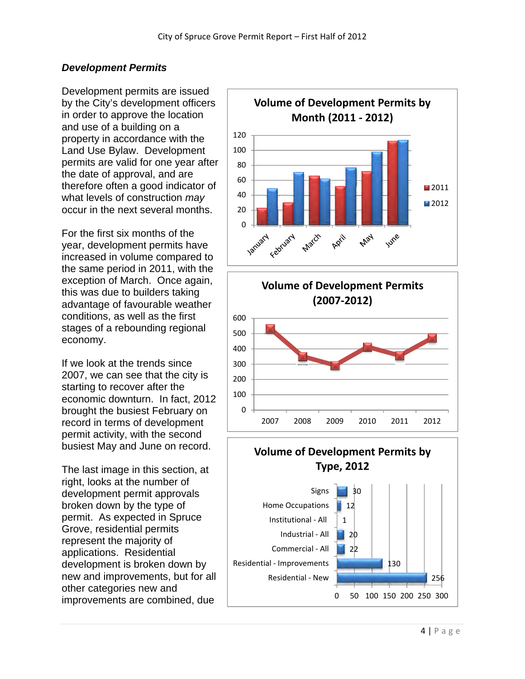## *Development Permits*

Development permits are issued by the City's development officers in order to approve the location and use of a building on a property in accordance with the Land Use Bylaw. Development permits are valid for one year after the date of approval, and are therefore often a good indicator of what levels of construction *may* occur in the next several months.

For the first six months of the year, development permits have increased in volume compared to the same period in 2011, with the exception of March. Once again, this was due to builders taking advantage of favourable weather conditions, as well as the first stages of a rebounding regional economy.

If we look at the trends since 2007, we can see that the city is starting to recover after the economic downturn. In fact, 2012 brought the busiest February on record in terms of development permit activity, with the second busiest May and June on record.

The last image in this section, at right, looks at the number of development permit approvals broken down by the type of permit. As expected in Spruce Grove, residential permits represent the majority of applications. Residential development is broken down by new and improvements, but for all other categories new and improvements are combined, due





## **Volume of Development Permits by Type, 2012**

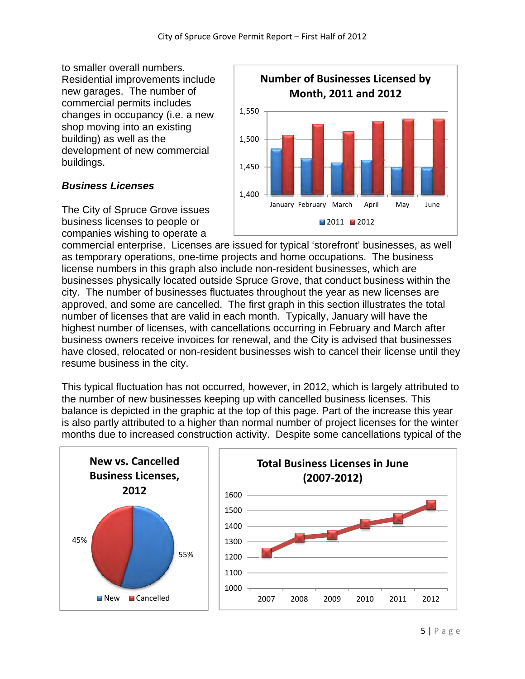to smaller overall numbers. Residential improvements include new garages. The number of commercial permits includes changes in occupancy (i.e. a new shop moving into an existing building) as well as the development of new commercial buildings.

## *Business Licenses*

The City of Spruce Grove issues business licenses to people or companies wishing to operate a



commercial enterprise. Licenses are issued for typical 'storefront' businesses, as well as temporary operations, one-time projects and home occupations. The business license numbers in this graph also include non-resident businesses, which are businesses physically located outside Spruce Grove, that conduct business within the city. The number of businesses fluctuates throughout the year as new licenses are approved, and some are cancelled. The first graph in this section illustrates the total number of licenses that are valid in each month. Typically, January will have the highest number of licenses, with cancellations occurring in February and March after business owners receive invoices for renewal, and the City is advised that businesses have closed, relocated or non-resident businesses wish to cancel their license until they resume business in the city.

This typical fluctuation has not occurred, however, in 2012, which is largely attributed to the number of new businesses keeping up with cancelled business licenses. This balance is depicted in the graphic at the top of this page. Part of the increase this year is also partly attributed to a higher than normal number of project licenses for the winter months due to increased construction activity. Despite some cancellations typical of the

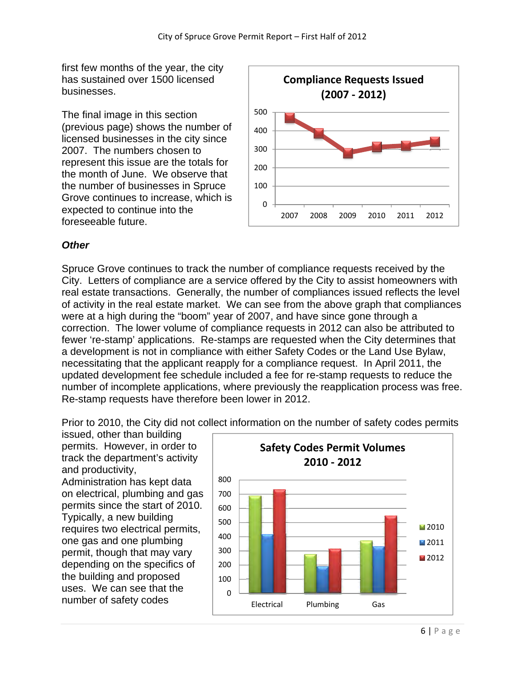first few months of the year, the city has sustained over 1500 licensed businesses.

The final image in this section (previous page) shows the number of licensed businesses in the city since 2007. The numbers chosen to represent this issue are the totals for the month of June. We observe that the number of businesses in Spruce Grove continues to increase, which is expected to continue into the foreseeable future.



# *Other*

Spruce Grove continues to track the number of compliance requests received by the City. Letters of compliance are a service offered by the City to assist homeowners with real estate transactions. Generally, the number of compliances issued reflects the level of activity in the real estate market. We can see from the above graph that compliances were at a high during the "boom" year of 2007, and have since gone through a correction. The lower volume of compliance requests in 2012 can also be attributed to fewer 're-stamp' applications. Re-stamps are requested when the City determines that a development is not in compliance with either Safety Codes or the Land Use Bylaw, necessitating that the applicant reapply for a compliance request. In April 2011, the updated development fee schedule included a fee for re-stamp requests to reduce the number of incomplete applications, where previously the reapplication process was free. Re-stamp requests have therefore been lower in 2012.

Prior to 2010, the City did not collect information on the number of safety codes permits

issued, other than building permits. However, in order to track the department's activity and productivity, Administration has kept data on electrical, plumbing and gas permits since the start of 2010. Typically, a new building requires two electrical permits, one gas and one plumbing permit, though that may vary depending on the specifics of the building and proposed uses. We can see that the number of safety codes